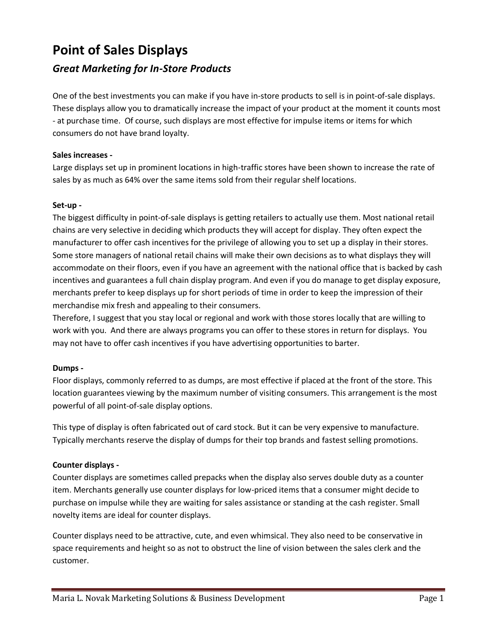# **Point of Sales Displays**

# *Great Marketing for In-Store Products*

One of the best investments you can make if you have in-store products to sell is in point-of-sale displays. These displays allow you to dramatically increase the impact of your product at the moment it counts most - at purchase time. Of course, such displays are most effective for impulse items or items for which consumers do not have brand loyalty.

# **Sales increases -**

Large displays set up in prominent locations in high-traffic stores have been shown to increase the rate of sales by as much as 64% over the same items sold from their regular shelf locations.

### **Set-up -**

The biggest difficulty in point-of-sale displays is getting retailers to actually use them. Most national retail chains are very selective in deciding which products they will accept for display. They often expect the manufacturer to offer cash incentives for the privilege of allowing you to set up a display in their stores. Some store managers of national retail chains will make their own decisions as to what displays they will accommodate on their floors, even if you have an agreement with the national office that is backed by cash incentives and guarantees a full chain display program. And even if you do manage to get display exposure, merchants prefer to keep displays up for short periods of time in order to keep the impression of their merchandise mix fresh and appealing to their consumers.

Therefore, I suggest that you stay local or regional and work with those stores locally that are willing to work with you. And there are always programs you can offer to these stores in return for displays. You may not have to offer cash incentives if you have advertising opportunities to barter.

#### **Dumps -**

Floor displays, commonly referred to as dumps, are most effective if placed at the front of the store. This location guarantees viewing by the maximum number of visiting consumers. This arrangement is the most powerful of all point-of-sale display options.

This type of display is often fabricated out of card stock. But it can be very expensive to manufacture. Typically merchants reserve the display of dumps for their top brands and fastest selling promotions.

# **Counter displays -**

Counter displays are sometimes called prepacks when the display also serves double duty as a counter item. Merchants generally use counter displays for low-priced items that a consumer might decide to purchase on impulse while they are waiting for sales assistance or standing at the cash register. Small novelty items are ideal for counter displays.

Counter displays need to be attractive, cute, and even whimsical. They also need to be conservative in space requirements and height so as not to obstruct the line of vision between the sales clerk and the customer.